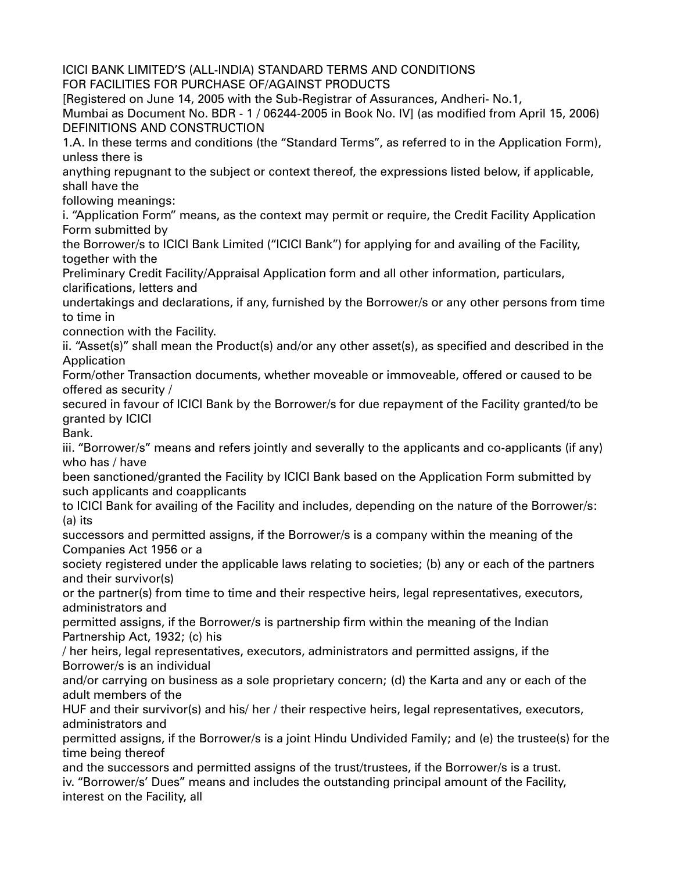ICICI BANK LIMITED'S (ALL-INDIA) STANDARD TERMS AND CONDITIONS FOR FACILITIES FOR PURCHASE OF/AGAINST PRODUCTS [Registered on June 14, 2005 with the Sub-Registrar of Assurances, Andheri- No.1, Mumbai as Document No. BDR - 1 / 06244-2005 in Book No. IV] (as modified from April 15, 2006) DEFINITIONS AND CONSTRUCTION 1.A. In these terms and conditions (the "Standard Terms", as referred to in the Application Form), unless there is anything repugnant to the subject or context thereof, the expressions listed below, if applicable, shall have the following meanings: i. "Application Form" means, as the context may permit or require, the Credit Facility Application Form submitted by the Borrower/s to ICICI Bank Limited ("ICICI Bank") for applying for and availing of the Facility, together with the Preliminary Credit Facility/Appraisal Application form and all other information, particulars, clarifications, letters and undertakings and declarations, if any, furnished by the Borrower/s or any other persons from time to time in connection with the Facility. ii. "Asset(s)" shall mean the Product(s) and/or any other asset(s), as specified and described in the Application Form/other Transaction documents, whether moveable or immoveable, offered or caused to be offered as security / secured in favour of ICICI Bank by the Borrower/s for due repayment of the Facility granted/to be granted by ICICI Bank. iii. "Borrower/s" means and refers jointly and severally to the applicants and co-applicants (if any) who has / have been sanctioned/granted the Facility by ICICI Bank based on the Application Form submitted by such applicants and coapplicants to ICICI Bank for availing of the Facility and includes, depending on the nature of the Borrower/s: (a) its successors and permitted assigns, if the Borrower/s is a company within the meaning of the Companies Act 1956 or a society registered under the applicable laws relating to societies; (b) any or each of the partners and their survivor(s) or the partner(s) from time to time and their respective heirs, legal representatives, executors, administrators and permitted assigns, if the Borrower/s is partnership firm within the meaning of the Indian Partnership Act, 1932; (c) his / her heirs, legal representatives, executors, administrators and permitted assigns, if the Borrower/s is an individual and/or carrying on business as a sole proprietary concern; (d) the Karta and any or each of the adult members of the HUF and their survivor(s) and his/ her / their respective heirs, legal representatives, executors, administrators and permitted assigns, if the Borrower/s is a joint Hindu Undivided Family; and (e) the trustee(s) for the time being thereof and the successors and permitted assigns of the trust/trustees, if the Borrower/s is a trust. iv. "Borrower/s' Dues" means and includes the outstanding principal amount of the Facility, interest on the Facility, all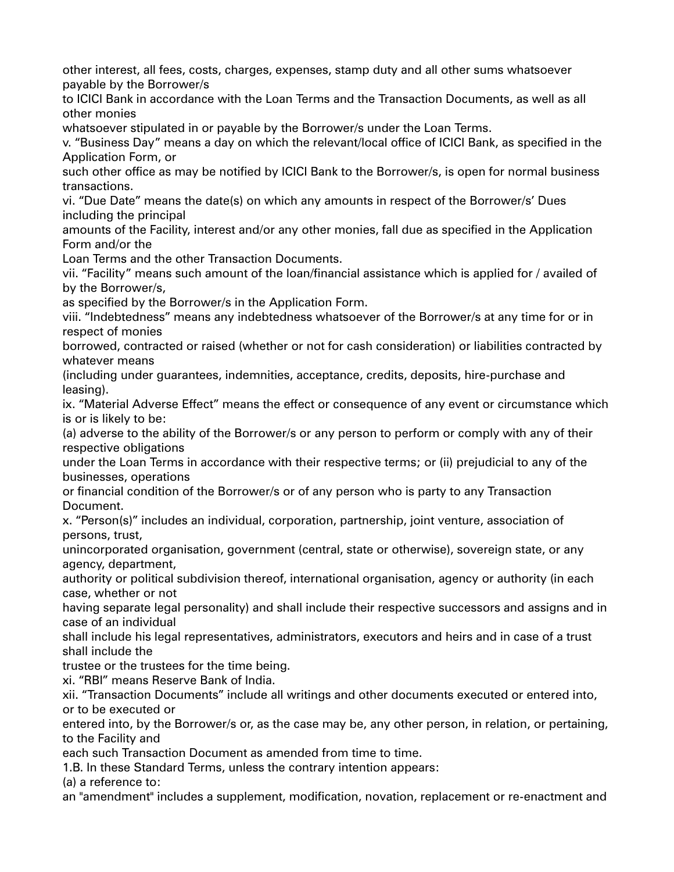other interest, all fees, costs, charges, expenses, stamp duty and all other sums whatsoever payable by the Borrower/s

to ICICI Bank in accordance with the Loan Terms and the Transaction Documents, as well as all other monies

whatsoever stipulated in or payable by the Borrower/s under the Loan Terms.

v. "Business Day" means a day on which the relevant/local office of ICICI Bank, as specified in the Application Form, or

such other office as may be notified by ICICI Bank to the Borrower/s, is open for normal business transactions.

vi. "Due Date" means the date(s) on which any amounts in respect of the Borrower/s' Dues including the principal

amounts of the Facility, interest and/or any other monies, fall due as specified in the Application Form and/or the

Loan Terms and the other Transaction Documents.

vii. "Facility" means such amount of the loan/financial assistance which is applied for / availed of by the Borrower/s,

as specified by the Borrower/s in the Application Form.

viii. "Indebtedness" means any indebtedness whatsoever of the Borrower/s at any time for or in respect of monies

borrowed, contracted or raised (whether or not for cash consideration) or liabilities contracted by whatever means

(including under guarantees, indemnities, acceptance, credits, deposits, hire-purchase and leasing).

ix. "Material Adverse Effect" means the effect or consequence of any event or circumstance which is or is likely to be:

(a) adverse to the ability of the Borrower/s or any person to perform or comply with any of their respective obligations

under the Loan Terms in accordance with their respective terms; or (ii) prejudicial to any of the businesses, operations

or financial condition of the Borrower/s or of any person who is party to any Transaction Document.

x. "Person(s)" includes an individual, corporation, partnership, joint venture, association of persons, trust,

unincorporated organisation, government (central, state or otherwise), sovereign state, or any agency, department,

authority or political subdivision thereof, international organisation, agency or authority (in each case, whether or not

having separate legal personality) and shall include their respective successors and assigns and in case of an individual

shall include his legal representatives, administrators, executors and heirs and in case of a trust shall include the

trustee or the trustees for the time being.

xi. "RBI" means Reserve Bank of India.

xii. "Transaction Documents" include all writings and other documents executed or entered into, or to be executed or

entered into, by the Borrower/s or, as the case may be, any other person, in relation, or pertaining, to the Facility and

each such Transaction Document as amended from time to time.

1.B. In these Standard Terms, unless the contrary intention appears:

(a) a reference to:

an "amendment" includes a supplement, modification, novation, replacement or re-enactment and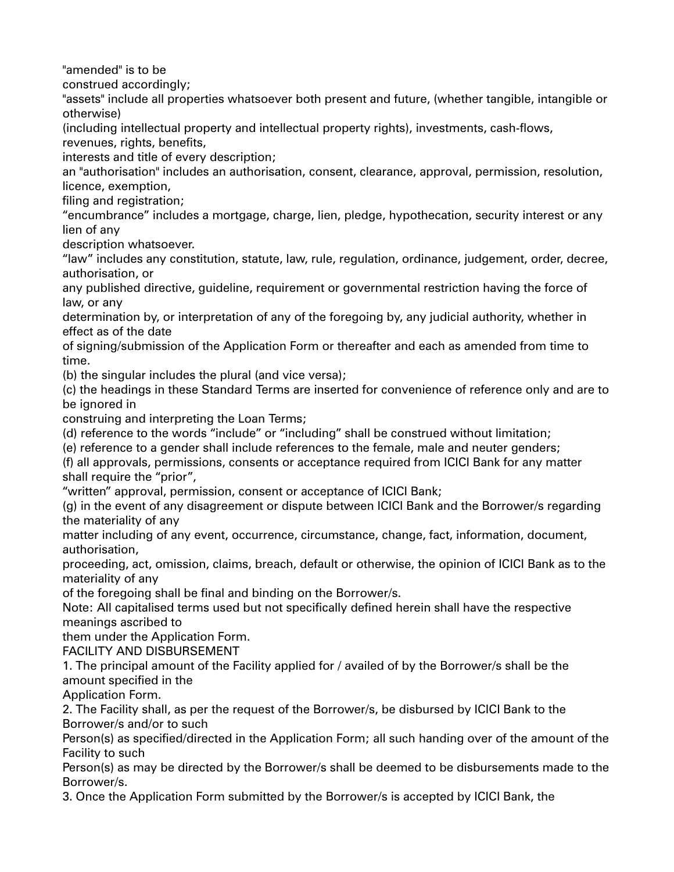"amended" is to be

construed accordingly;

"assets" include all properties whatsoever both present and future, (whether tangible, intangible or otherwise)

(including intellectual property and intellectual property rights), investments, cash-flows,

revenues, rights, benefits,

interests and title of every description;

an "authorisation" includes an authorisation, consent, clearance, approval, permission, resolution, licence, exemption,

filing and registration;

"encumbrance" includes a mortgage, charge, lien, pledge, hypothecation, security interest or any lien of any

description whatsoever.

"law" includes any constitution, statute, law, rule, regulation, ordinance, judgement, order, decree, authorisation, or

any published directive, guideline, requirement or governmental restriction having the force of law, or any

determination by, or interpretation of any of the foregoing by, any judicial authority, whether in effect as of the date

of signing/submission of the Application Form or thereafter and each as amended from time to time.

(b) the singular includes the plural (and vice versa);

(c) the headings in these Standard Terms are inserted for convenience of reference only and are to be ignored in

construing and interpreting the Loan Terms;

(d) reference to the words "include" or "including" shall be construed without limitation;

(e) reference to a gender shall include references to the female, male and neuter genders;

(f) all approvals, permissions, consents or acceptance required from ICICI Bank for any matter shall require the "prior",

"written" approval, permission, consent or acceptance of ICICI Bank;

(g) in the event of any disagreement or dispute between ICICI Bank and the Borrower/s regarding the materiality of any

matter including of any event, occurrence, circumstance, change, fact, information, document, authorisation,

proceeding, act, omission, claims, breach, default or otherwise, the opinion of ICICI Bank as to the materiality of any

of the foregoing shall be final and binding on the Borrower/s.

Note: All capitalised terms used but not specifically defined herein shall have the respective meanings ascribed to

them under the Application Form.

FACILITY AND DISBURSEMENT

1. The principal amount of the Facility applied for / availed of by the Borrower/s shall be the amount specified in the

Application Form.

2. The Facility shall, as per the request of the Borrower/s, be disbursed by ICICI Bank to the Borrower/s and/or to such

Person(s) as specified/directed in the Application Form; all such handing over of the amount of the Facility to such

Person(s) as may be directed by the Borrower/s shall be deemed to be disbursements made to the Borrower/s.

3. Once the Application Form submitted by the Borrower/s is accepted by ICICI Bank, the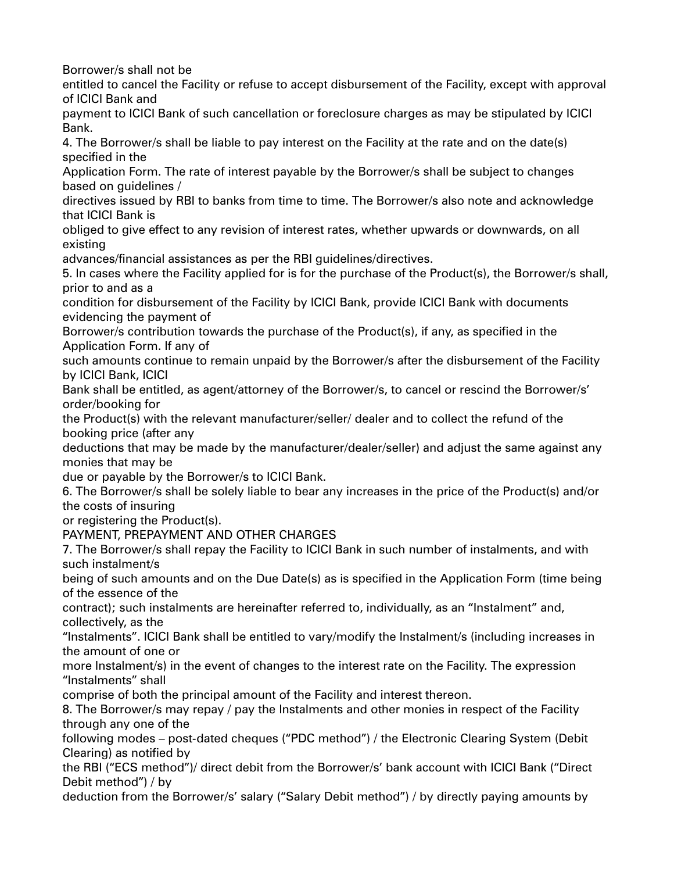Borrower/s shall not be

entitled to cancel the Facility or refuse to accept disbursement of the Facility, except with approval of ICICI Bank and

payment to ICICI Bank of such cancellation or foreclosure charges as may be stipulated by ICICI Bank.

4. The Borrower/s shall be liable to pay interest on the Facility at the rate and on the date(s) specified in the

Application Form. The rate of interest payable by the Borrower/s shall be subject to changes based on guidelines /

directives issued by RBI to banks from time to time. The Borrower/s also note and acknowledge that ICICI Bank is

obliged to give effect to any revision of interest rates, whether upwards or downwards, on all existing

advances/financial assistances as per the RBI guidelines/directives.

5. In cases where the Facility applied for is for the purchase of the Product(s), the Borrower/s shall, prior to and as a

condition for disbursement of the Facility by ICICI Bank, provide ICICI Bank with documents evidencing the payment of

Borrower/s contribution towards the purchase of the Product(s), if any, as specified in the Application Form. If any of

such amounts continue to remain unpaid by the Borrower/s after the disbursement of the Facility by ICICI Bank, ICICI

Bank shall be entitled, as agent/attorney of the Borrower/s, to cancel or rescind the Borrower/s' order/booking for

the Product(s) with the relevant manufacturer/seller/ dealer and to collect the refund of the booking price (after any

deductions that may be made by the manufacturer/dealer/seller) and adjust the same against any monies that may be

due or payable by the Borrower/s to ICICI Bank.

6. The Borrower/s shall be solely liable to bear any increases in the price of the Product(s) and/or the costs of insuring

or registering the Product(s).

PAYMENT, PREPAYMENT AND OTHER CHARGES

7. The Borrower/s shall repay the Facility to ICICI Bank in such number of instalments, and with such instalment/s

being of such amounts and on the Due Date(s) as is specified in the Application Form (time being of the essence of the

contract); such instalments are hereinafter referred to, individually, as an "Instalment" and, collectively, as the

"Instalments". ICICI Bank shall be entitled to vary/modify the Instalment/s (including increases in the amount of one or

more Instalment/s) in the event of changes to the interest rate on the Facility. The expression "Instalments" shall

comprise of both the principal amount of the Facility and interest thereon.

8. The Borrower/s may repay / pay the Instalments and other monies in respect of the Facility through any one of the

following modes – post-dated cheques ("PDC method") / the Electronic Clearing System (Debit Clearing) as notified by

the RBI ("ECS method")/ direct debit from the Borrower/s' bank account with ICICI Bank ("Direct Debit method") / by

deduction from the Borrower/s' salary ("Salary Debit method") / by directly paying amounts by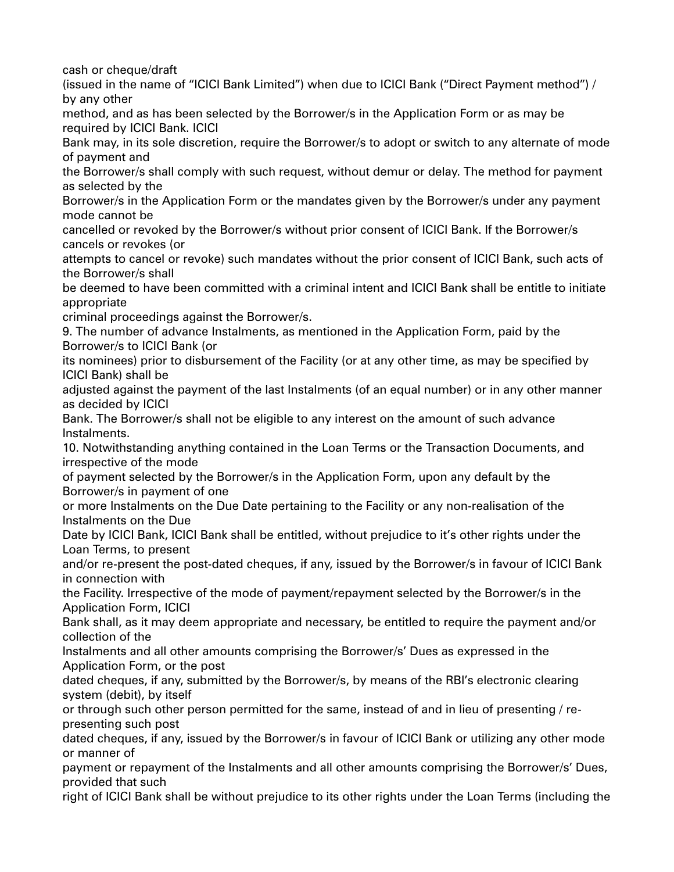cash or cheque/draft

(issued in the name of "ICICI Bank Limited") when due to ICICI Bank ("Direct Payment method") / by any other

method, and as has been selected by the Borrower/s in the Application Form or as may be required by ICICI Bank. ICICI

Bank may, in its sole discretion, require the Borrower/s to adopt or switch to any alternate of mode of payment and

the Borrower/s shall comply with such request, without demur or delay. The method for payment as selected by the

Borrower/s in the Application Form or the mandates given by the Borrower/s under any payment mode cannot be

cancelled or revoked by the Borrower/s without prior consent of ICICI Bank. If the Borrower/s cancels or revokes (or

attempts to cancel or revoke) such mandates without the prior consent of ICICI Bank, such acts of the Borrower/s shall

be deemed to have been committed with a criminal intent and ICICI Bank shall be entitle to initiate appropriate

criminal proceedings against the Borrower/s.

9. The number of advance Instalments, as mentioned in the Application Form, paid by the Borrower/s to ICICI Bank (or

its nominees) prior to disbursement of the Facility (or at any other time, as may be specified by ICICI Bank) shall be

adjusted against the payment of the last Instalments (of an equal number) or in any other manner as decided by ICICI

Bank. The Borrower/s shall not be eligible to any interest on the amount of such advance Instalments.

10. Notwithstanding anything contained in the Loan Terms or the Transaction Documents, and irrespective of the mode

of payment selected by the Borrower/s in the Application Form, upon any default by the Borrower/s in payment of one

or more Instalments on the Due Date pertaining to the Facility or any non-realisation of the Instalments on the Due

Date by ICICI Bank, ICICI Bank shall be entitled, without prejudice to it's other rights under the Loan Terms, to present

and/or re-present the post-dated cheques, if any, issued by the Borrower/s in favour of ICICI Bank in connection with

the Facility. Irrespective of the mode of payment/repayment selected by the Borrower/s in the Application Form, ICICI

Bank shall, as it may deem appropriate and necessary, be entitled to require the payment and/or collection of the

Instalments and all other amounts comprising the Borrower/s' Dues as expressed in the Application Form, or the post

dated cheques, if any, submitted by the Borrower/s, by means of the RBI's electronic clearing system (debit), by itself

or through such other person permitted for the same, instead of and in lieu of presenting / representing such post

dated cheques, if any, issued by the Borrower/s in favour of ICICI Bank or utilizing any other mode or manner of

payment or repayment of the Instalments and all other amounts comprising the Borrower/s' Dues, provided that such

right of ICICI Bank shall be without prejudice to its other rights under the Loan Terms (including the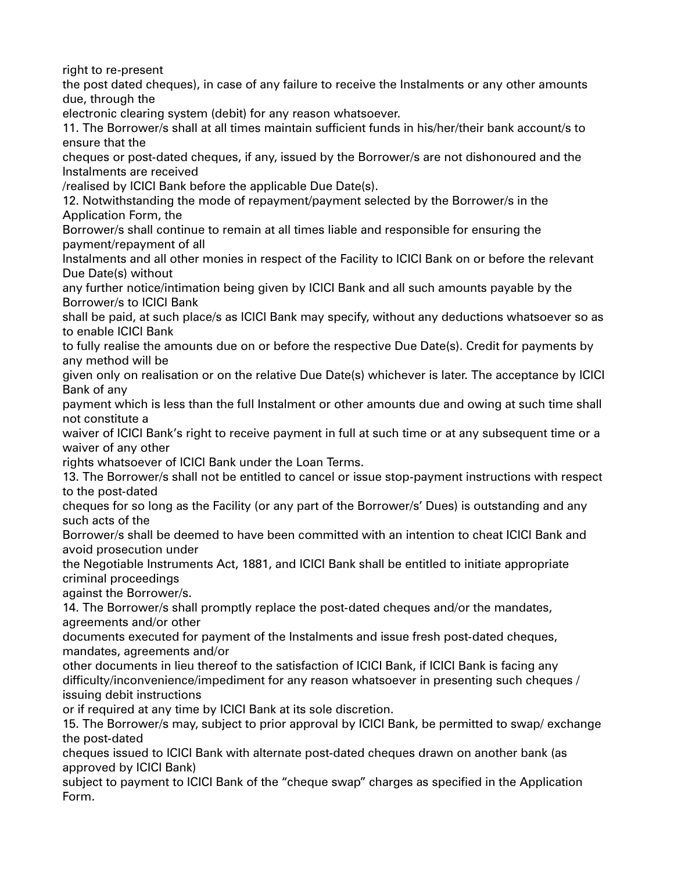right to re-present

the post dated cheques), in case of any failure to receive the Instalments or any other amounts due, through the

electronic clearing system (debit) for any reason whatsoever.

11. The Borrower/s shall at all times maintain sufficient funds in his/her/their bank account/s to ensure that the

cheques or post-dated cheques, if any, issued by the Borrower/s are not dishonoured and the Instalments are received

/realised by ICICI Bank before the applicable Due Date(s).

12. Notwithstanding the mode of repayment/payment selected by the Borrower/s in the Application Form, the

Borrower/s shall continue to remain at all times liable and responsible for ensuring the payment/repayment of all

Instalments and all other monies in respect of the Facility to ICICI Bank on or before the relevant Due Date(s) without

any further notice/intimation being given by ICICI Bank and all such amounts payable by the Borrower/s to ICICI Bank

shall be paid, at such place/s as ICICI Bank may specify, without any deductions whatsoever so as to enable ICICI Bank

to fully realise the amounts due on or before the respective Due Date(s). Credit for payments by any method will be

given only on realisation or on the relative Due Date(s) whichever is later. The acceptance by ICICI Bank of any

payment which is less than the full Instalment or other amounts due and owing at such time shall not constitute a

waiver of ICICI Bank's right to receive payment in full at such time or at any subsequent time or a waiver of any other

rights whatsoever of ICICI Bank under the Loan Terms.

13. The Borrower/s shall not be entitled to cancel or issue stop-payment instructions with respect to the post-dated

cheques for so long as the Facility (or any part of the Borrower/s' Dues) is outstanding and any such acts of the

Borrower/s shall be deemed to have been committed with an intention to cheat ICICI Bank and avoid prosecution under

the Negotiable Instruments Act, 1881, and ICICI Bank shall be entitled to initiate appropriate criminal proceedings

against the Borrower/s.

14. The Borrower/s shall promptly replace the post-dated cheques and/or the mandates, agreements and/or other

documents executed for payment of the Instalments and issue fresh post-dated cheques, mandates, agreements and/or

other documents in lieu thereof to the satisfaction of ICICI Bank, if ICICI Bank is facing any difficulty/inconvenience/impediment for any reason whatsoever in presenting such cheques / issuing debit instructions

or if required at any time by ICICI Bank at its sole discretion.

15. The Borrower/s may, subject to prior approval by ICICI Bank, be permitted to swap/ exchange the post-dated

cheques issued to ICICI Bank with alternate post-dated cheques drawn on another bank (as approved by ICICI Bank)

subject to payment to ICICI Bank of the "cheque swap" charges as specified in the Application Form.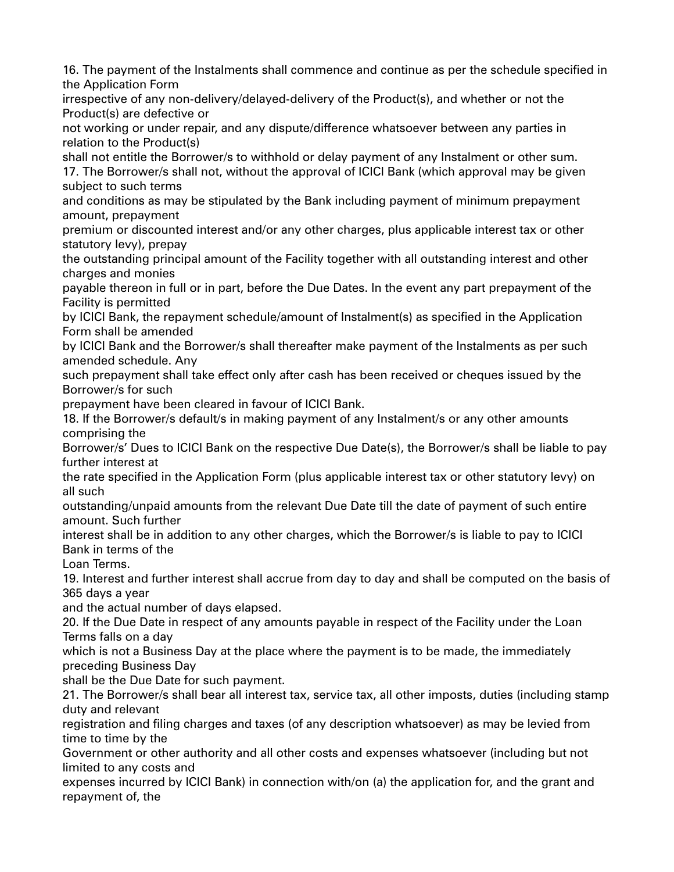16. The payment of the Instalments shall commence and continue as per the schedule specified in the Application Form

irrespective of any non-delivery/delayed-delivery of the Product(s), and whether or not the Product(s) are defective or

not working or under repair, and any dispute/difference whatsoever between any parties in relation to the Product(s)

shall not entitle the Borrower/s to withhold or delay payment of any Instalment or other sum.

17. The Borrower/s shall not, without the approval of ICICI Bank (which approval may be given subject to such terms

and conditions as may be stipulated by the Bank including payment of minimum prepayment amount, prepayment

premium or discounted interest and/or any other charges, plus applicable interest tax or other statutory levy), prepay

the outstanding principal amount of the Facility together with all outstanding interest and other charges and monies

payable thereon in full or in part, before the Due Dates. In the event any part prepayment of the Facility is permitted

by ICICI Bank, the repayment schedule/amount of Instalment(s) as specified in the Application Form shall be amended

by ICICI Bank and the Borrower/s shall thereafter make payment of the Instalments as per such amended schedule. Any

such prepayment shall take effect only after cash has been received or cheques issued by the Borrower/s for such

prepayment have been cleared in favour of ICICI Bank.

18. If the Borrower/s default/s in making payment of any Instalment/s or any other amounts comprising the

Borrower/s' Dues to ICICI Bank on the respective Due Date(s), the Borrower/s shall be liable to pay further interest at

the rate specified in the Application Form (plus applicable interest tax or other statutory levy) on all such

outstanding/unpaid amounts from the relevant Due Date till the date of payment of such entire amount. Such further

interest shall be in addition to any other charges, which the Borrower/s is liable to pay to ICICI Bank in terms of the

Loan Terms.

19. Interest and further interest shall accrue from day to day and shall be computed on the basis of 365 days a year

and the actual number of days elapsed.

20. If the Due Date in respect of any amounts payable in respect of the Facility under the Loan Terms falls on a day

which is not a Business Day at the place where the payment is to be made, the immediately preceding Business Day

shall be the Due Date for such payment.

21. The Borrower/s shall bear all interest tax, service tax, all other imposts, duties (including stamp duty and relevant

registration and filing charges and taxes (of any description whatsoever) as may be levied from time to time by the

Government or other authority and all other costs and expenses whatsoever (including but not limited to any costs and

expenses incurred by ICICI Bank) in connection with/on (a) the application for, and the grant and repayment of, the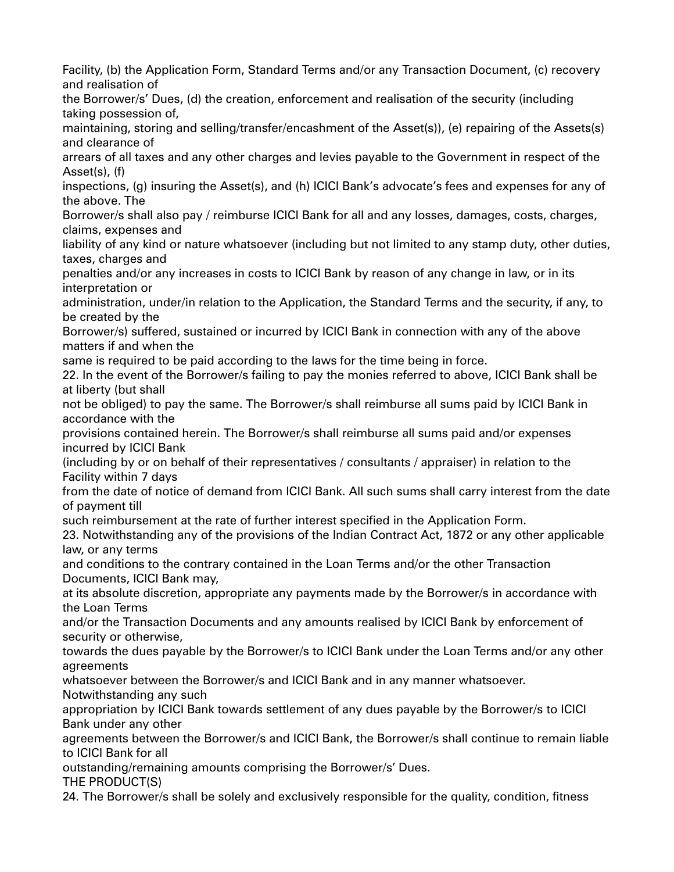Facility, (b) the Application Form, Standard Terms and/or any Transaction Document, (c) recovery and realisation of the Borrower/s' Dues, (d) the creation, enforcement and realisation of the security (including taking possession of, maintaining, storing and selling/transfer/encashment of the Asset(s)), (e) repairing of the Assets(s) and clearance of arrears of all taxes and any other charges and levies payable to the Government in respect of the Asset(s), (f) inspections, (g) insuring the Asset(s), and (h) ICICI Bank's advocate's fees and expenses for any of the above. The Borrower/s shall also pay / reimburse ICICI Bank for all and any losses, damages, costs, charges, claims, expenses and liability of any kind or nature whatsoever (including but not limited to any stamp duty, other duties, taxes, charges and penalties and/or any increases in costs to ICICI Bank by reason of any change in law, or in its interpretation or administration, under/in relation to the Application, the Standard Terms and the security, if any, to be created by the Borrower/s) suffered, sustained or incurred by ICICI Bank in connection with any of the above matters if and when the same is required to be paid according to the laws for the time being in force. 22. In the event of the Borrower/s failing to pay the monies referred to above, ICICI Bank shall be at liberty (but shall not be obliged) to pay the same. The Borrower/s shall reimburse all sums paid by ICICI Bank in accordance with the provisions contained herein. The Borrower/s shall reimburse all sums paid and/or expenses incurred by ICICI Bank (including by or on behalf of their representatives / consultants / appraiser) in relation to the Facility within 7 days from the date of notice of demand from ICICI Bank. All such sums shall carry interest from the date of payment till such reimbursement at the rate of further interest specified in the Application Form. 23. Notwithstanding any of the provisions of the Indian Contract Act, 1872 or any other applicable law, or any terms and conditions to the contrary contained in the Loan Terms and/or the other Transaction Documents, ICICI Bank may, at its absolute discretion, appropriate any payments made by the Borrower/s in accordance with the Loan Terms and/or the Transaction Documents and any amounts realised by ICICI Bank by enforcement of security or otherwise, towards the dues payable by the Borrower/s to ICICI Bank under the Loan Terms and/or any other agreements whatsoever between the Borrower/s and ICICI Bank and in any manner whatsoever. Notwithstanding any such appropriation by ICICI Bank towards settlement of any dues payable by the Borrower/s to ICICI Bank under any other agreements between the Borrower/s and ICICI Bank, the Borrower/s shall continue to remain liable to ICICI Bank for all outstanding/remaining amounts comprising the Borrower/s' Dues. THE PRODUCT(S) 24. The Borrower/s shall be solely and exclusively responsible for the quality, condition, fitness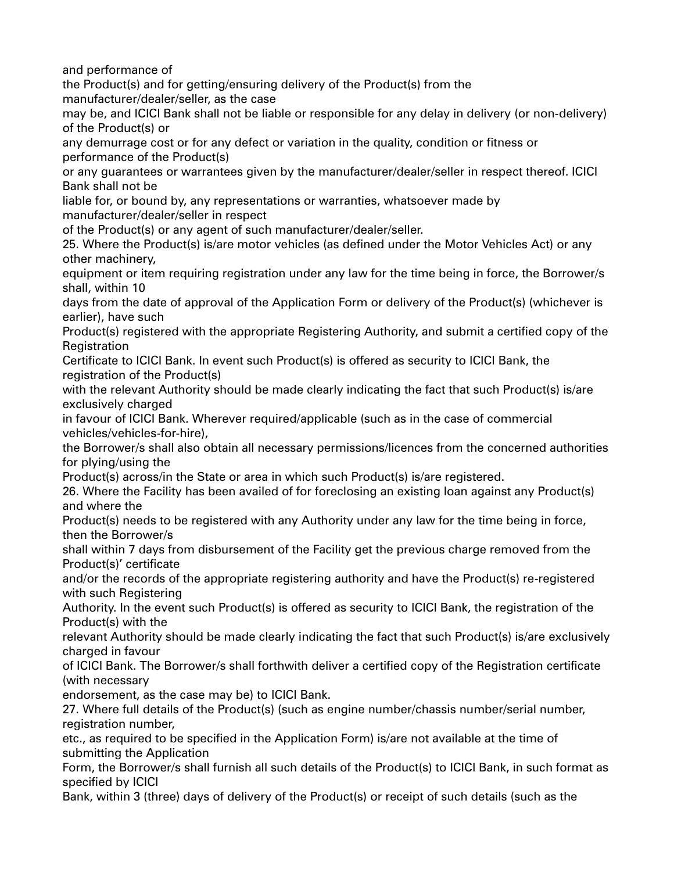and performance of

the Product(s) and for getting/ensuring delivery of the Product(s) from the manufacturer/dealer/seller, as the case

may be, and ICICI Bank shall not be liable or responsible for any delay in delivery (or non-delivery) of the Product(s) or

any demurrage cost or for any defect or variation in the quality, condition or fitness or performance of the Product(s)

or any guarantees or warrantees given by the manufacturer/dealer/seller in respect thereof. ICICI Bank shall not be

liable for, or bound by, any representations or warranties, whatsoever made by manufacturer/dealer/seller in respect

of the Product(s) or any agent of such manufacturer/dealer/seller.

25. Where the Product(s) is/are motor vehicles (as defined under the Motor Vehicles Act) or any other machinery,

equipment or item requiring registration under any law for the time being in force, the Borrower/s shall, within 10

days from the date of approval of the Application Form or delivery of the Product(s) (whichever is earlier), have such

Product(s) registered with the appropriate Registering Authority, and submit a certified copy of the Registration

Certificate to ICICI Bank. In event such Product(s) is offered as security to ICICI Bank, the registration of the Product(s)

with the relevant Authority should be made clearly indicating the fact that such Product(s) is/are exclusively charged

in favour of ICICI Bank. Wherever required/applicable (such as in the case of commercial vehicles/vehicles-for-hire),

the Borrower/s shall also obtain all necessary permissions/licences from the concerned authorities for plying/using the

Product(s) across/in the State or area in which such Product(s) is/are registered.

26. Where the Facility has been availed of for foreclosing an existing loan against any Product(s) and where the

Product(s) needs to be registered with any Authority under any law for the time being in force, then the Borrower/s

shall within 7 days from disbursement of the Facility get the previous charge removed from the Product(s)' certificate

and/or the records of the appropriate registering authority and have the Product(s) re-registered with such Registering

Authority. In the event such Product(s) is offered as security to ICICI Bank, the registration of the Product(s) with the

relevant Authority should be made clearly indicating the fact that such Product(s) is/are exclusively charged in favour

of ICICI Bank. The Borrower/s shall forthwith deliver a certified copy of the Registration certificate (with necessary

endorsement, as the case may be) to ICICI Bank.

27. Where full details of the Product(s) (such as engine number/chassis number/serial number, registration number,

etc., as required to be specified in the Application Form) is/are not available at the time of submitting the Application

Form, the Borrower/s shall furnish all such details of the Product(s) to ICICI Bank, in such format as specified by ICICI

Bank, within 3 (three) days of delivery of the Product(s) or receipt of such details (such as the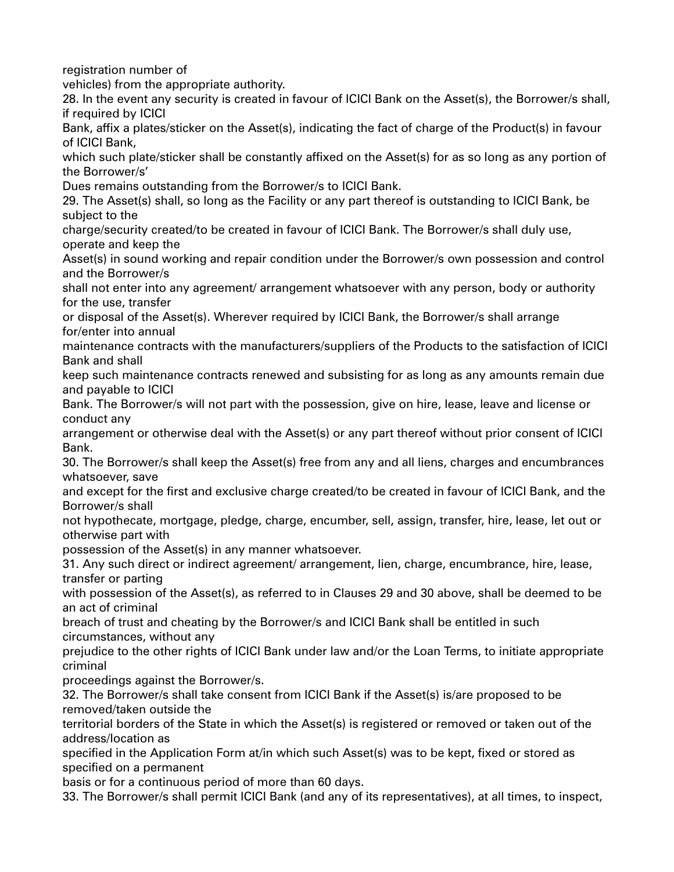registration number of

vehicles) from the appropriate authority.

28. In the event any security is created in favour of ICICI Bank on the Asset(s), the Borrower/s shall, if required by ICICI

Bank, affix a plates/sticker on the Asset(s), indicating the fact of charge of the Product(s) in favour of ICICI Bank,

which such plate/sticker shall be constantly affixed on the Asset(s) for as so long as any portion of the Borrower/s'

Dues remains outstanding from the Borrower/s to ICICI Bank.

29. The Asset(s) shall, so long as the Facility or any part thereof is outstanding to ICICI Bank, be subject to the

charge/security created/to be created in favour of ICICI Bank. The Borrower/s shall duly use, operate and keep the

Asset(s) in sound working and repair condition under the Borrower/s own possession and control and the Borrower/s

shall not enter into any agreement/ arrangement whatsoever with any person, body or authority for the use, transfer

or disposal of the Asset(s). Wherever required by ICICI Bank, the Borrower/s shall arrange for/enter into annual

maintenance contracts with the manufacturers/suppliers of the Products to the satisfaction of ICICI Bank and shall

keep such maintenance contracts renewed and subsisting for as long as any amounts remain due and payable to ICICI

Bank. The Borrower/s will not part with the possession, give on hire, lease, leave and license or conduct any

arrangement or otherwise deal with the Asset(s) or any part thereof without prior consent of ICICI Bank.

30. The Borrower/s shall keep the Asset(s) free from any and all liens, charges and encumbrances whatsoever, save

and except for the first and exclusive charge created/to be created in favour of ICICI Bank, and the Borrower/s shall

not hypothecate, mortgage, pledge, charge, encumber, sell, assign, transfer, hire, lease, let out or otherwise part with

possession of the Asset(s) in any manner whatsoever.

31. Any such direct or indirect agreement/ arrangement, lien, charge, encumbrance, hire, lease, transfer or parting

with possession of the Asset(s), as referred to in Clauses 29 and 30 above, shall be deemed to be an act of criminal

breach of trust and cheating by the Borrower/s and ICICI Bank shall be entitled in such circumstances, without any

prejudice to the other rights of ICICI Bank under law and/or the Loan Terms, to initiate appropriate criminal

proceedings against the Borrower/s.

32. The Borrower/s shall take consent from ICICI Bank if the Asset(s) is/are proposed to be removed/taken outside the

territorial borders of the State in which the Asset(s) is registered or removed or taken out of the address/location as

specified in the Application Form at/in which such Asset(s) was to be kept, fixed or stored as specified on a permanent

basis or for a continuous period of more than 60 days.

33. The Borrower/s shall permit ICICI Bank (and any of its representatives), at all times, to inspect,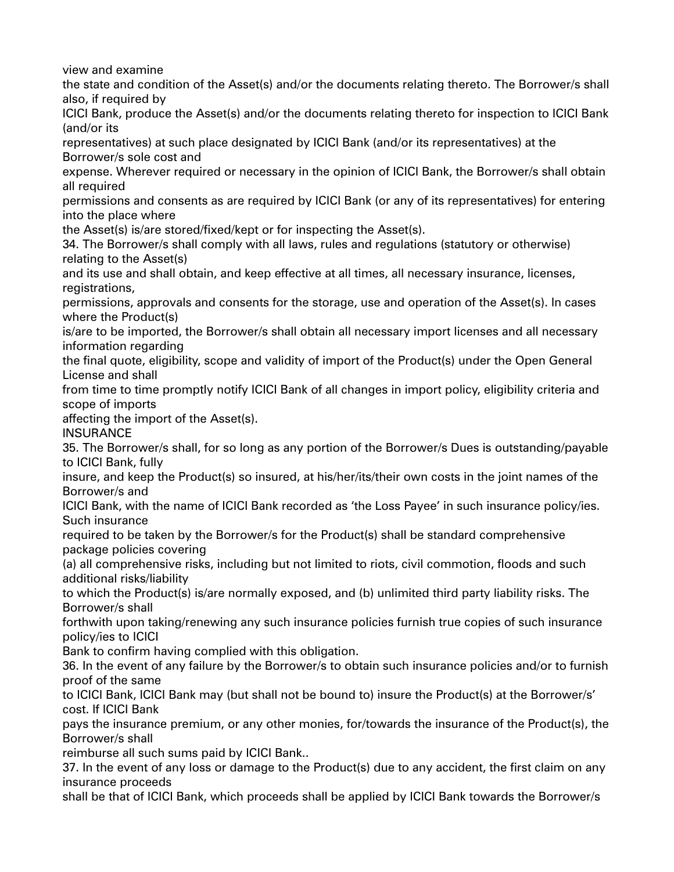view and examine

the state and condition of the Asset(s) and/or the documents relating thereto. The Borrower/s shall also, if required by

ICICI Bank, produce the Asset(s) and/or the documents relating thereto for inspection to ICICI Bank (and/or its

representatives) at such place designated by ICICI Bank (and/or its representatives) at the Borrower/s sole cost and

expense. Wherever required or necessary in the opinion of ICICI Bank, the Borrower/s shall obtain all required

permissions and consents as are required by ICICI Bank (or any of its representatives) for entering into the place where

the Asset(s) is/are stored/fixed/kept or for inspecting the Asset(s).

34. The Borrower/s shall comply with all laws, rules and regulations (statutory or otherwise) relating to the Asset(s)

and its use and shall obtain, and keep effective at all times, all necessary insurance, licenses, registrations,

permissions, approvals and consents for the storage, use and operation of the Asset(s). In cases where the Product(s)

is/are to be imported, the Borrower/s shall obtain all necessary import licenses and all necessary information regarding

the final quote, eligibility, scope and validity of import of the Product(s) under the Open General License and shall

from time to time promptly notify ICICI Bank of all changes in import policy, eligibility criteria and scope of imports

affecting the import of the Asset(s).

**INSURANCE** 

35. The Borrower/s shall, for so long as any portion of the Borrower/s Dues is outstanding/payable to ICICI Bank, fully

insure, and keep the Product(s) so insured, at his/her/its/their own costs in the joint names of the Borrower/s and

ICICI Bank, with the name of ICICI Bank recorded as 'the Loss Payee' in such insurance policy/ies. Such insurance

required to be taken by the Borrower/s for the Product(s) shall be standard comprehensive package policies covering

(a) all comprehensive risks, including but not limited to riots, civil commotion, floods and such additional risks/liability

to which the Product(s) is/are normally exposed, and (b) unlimited third party liability risks. The Borrower/s shall

forthwith upon taking/renewing any such insurance policies furnish true copies of such insurance policy/ies to ICICI

Bank to confirm having complied with this obligation.

36. In the event of any failure by the Borrower/s to obtain such insurance policies and/or to furnish proof of the same

to ICICI Bank, ICICI Bank may (but shall not be bound to) insure the Product(s) at the Borrower/s' cost. If ICICI Bank

pays the insurance premium, or any other monies, for/towards the insurance of the Product(s), the Borrower/s shall

reimburse all such sums paid by ICICI Bank..

37. In the event of any loss or damage to the Product(s) due to any accident, the first claim on any insurance proceeds

shall be that of ICICI Bank, which proceeds shall be applied by ICICI Bank towards the Borrower/s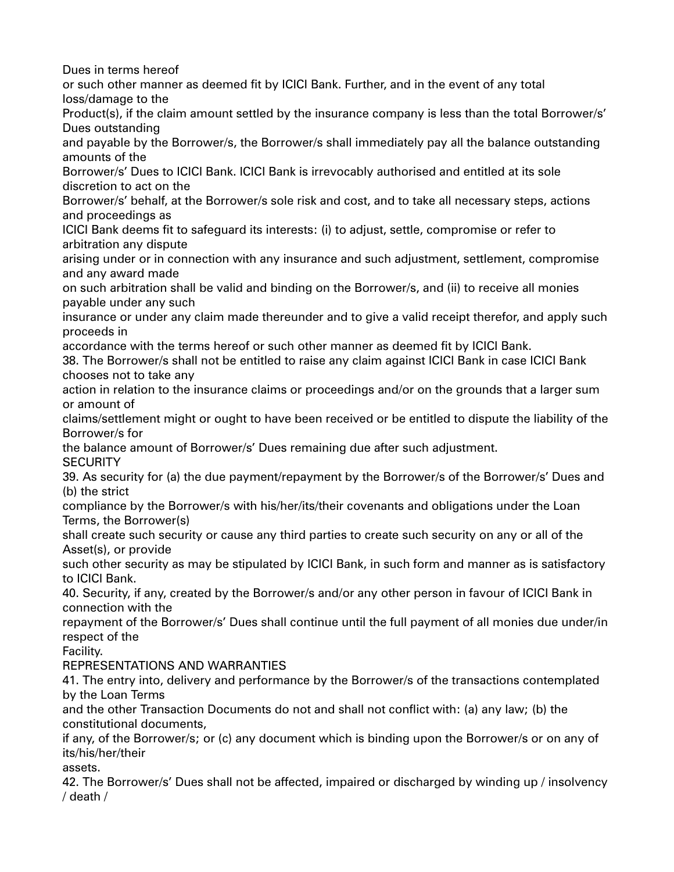Dues in terms hereof or such other manner as deemed fit by ICICI Bank. Further, and in the event of any total loss/damage to the Product(s), if the claim amount settled by the insurance company is less than the total Borrower/s' Dues outstanding and payable by the Borrower/s, the Borrower/s shall immediately pay all the balance outstanding amounts of the Borrower/s' Dues to ICICI Bank. ICICI Bank is irrevocably authorised and entitled at its sole discretion to act on the Borrower/s' behalf, at the Borrower/s sole risk and cost, and to take all necessary steps, actions and proceedings as ICICI Bank deems fit to safeguard its interests: (i) to adjust, settle, compromise or refer to arbitration any dispute arising under or in connection with any insurance and such adjustment, settlement, compromise and any award made on such arbitration shall be valid and binding on the Borrower/s, and (ii) to receive all monies payable under any such insurance or under any claim made thereunder and to give a valid receipt therefor, and apply such proceeds in accordance with the terms hereof or such other manner as deemed fit by ICICI Bank. 38. The Borrower/s shall not be entitled to raise any claim against ICICI Bank in case ICICI Bank chooses not to take any action in relation to the insurance claims or proceedings and/or on the grounds that a larger sum or amount of claims/settlement might or ought to have been received or be entitled to dispute the liability of the Borrower/s for the balance amount of Borrower/s' Dues remaining due after such adjustment. **SECURITY** 39. As security for (a) the due payment/repayment by the Borrower/s of the Borrower/s' Dues and (b) the strict compliance by the Borrower/s with his/her/its/their covenants and obligations under the Loan Terms, the Borrower(s) shall create such security or cause any third parties to create such security on any or all of the Asset(s), or provide such other security as may be stipulated by ICICI Bank, in such form and manner as is satisfactory to ICICI Bank. 40. Security, if any, created by the Borrower/s and/or any other person in favour of ICICI Bank in connection with the repayment of the Borrower/s' Dues shall continue until the full payment of all monies due under/in respect of the Facility. REPRESENTATIONS AND WARRANTIES 41. The entry into, delivery and performance by the Borrower/s of the transactions contemplated by the Loan Terms and the other Transaction Documents do not and shall not conflict with: (a) any law; (b) the constitutional documents, if any, of the Borrower/s; or (c) any document which is binding upon the Borrower/s or on any of its/his/her/their assets. 42. The Borrower/s' Dues shall not be affected, impaired or discharged by winding up / insolvency / death /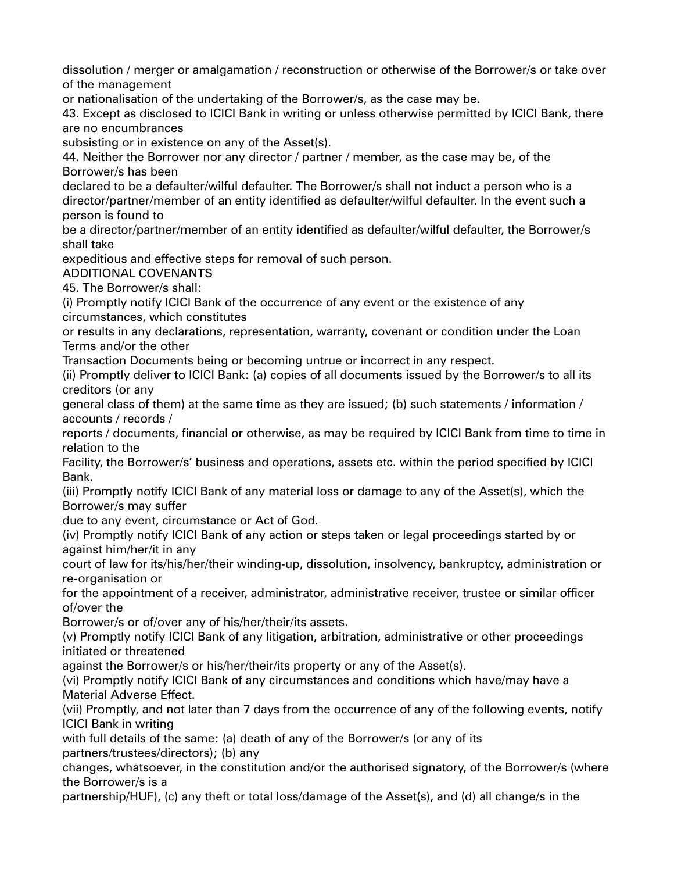dissolution / merger or amalgamation / reconstruction or otherwise of the Borrower/s or take over of the management

or nationalisation of the undertaking of the Borrower/s, as the case may be.

43. Except as disclosed to ICICI Bank in writing or unless otherwise permitted by ICICI Bank, there are no encumbrances

subsisting or in existence on any of the Asset(s).

44. Neither the Borrower nor any director / partner / member, as the case may be, of the Borrower/s has been

declared to be a defaulter/wilful defaulter. The Borrower/s shall not induct a person who is a director/partner/member of an entity identified as defaulter/wilful defaulter. In the event such a person is found to

be a director/partner/member of an entity identified as defaulter/wilful defaulter, the Borrower/s shall take

expeditious and effective steps for removal of such person.

ADDITIONAL COVENANTS

45. The Borrower/s shall:

(i) Promptly notify ICICI Bank of the occurrence of any event or the existence of any circumstances, which constitutes

or results in any declarations, representation, warranty, covenant or condition under the Loan Terms and/or the other

Transaction Documents being or becoming untrue or incorrect in any respect.

(ii) Promptly deliver to ICICI Bank: (a) copies of all documents issued by the Borrower/s to all its creditors (or any

general class of them) at the same time as they are issued; (b) such statements / information / accounts / records /

reports / documents, financial or otherwise, as may be required by ICICI Bank from time to time in relation to the

Facility, the Borrower/s' business and operations, assets etc. within the period specified by ICICI Bank.

(iii) Promptly notify ICICI Bank of any material loss or damage to any of the Asset(s), which the Borrower/s may suffer

due to any event, circumstance or Act of God.

(iv) Promptly notify ICICI Bank of any action or steps taken or legal proceedings started by or against him/her/it in any

court of law for its/his/her/their winding-up, dissolution, insolvency, bankruptcy, administration or re-organisation or

for the appointment of a receiver, administrator, administrative receiver, trustee or similar officer of/over the

Borrower/s or of/over any of his/her/their/its assets.

(v) Promptly notify ICICI Bank of any litigation, arbitration, administrative or other proceedings initiated or threatened

against the Borrower/s or his/her/their/its property or any of the Asset(s).

(vi) Promptly notify ICICI Bank of any circumstances and conditions which have/may have a Material Adverse Effect.

(vii) Promptly, and not later than 7 days from the occurrence of any of the following events, notify ICICI Bank in writing

with full details of the same: (a) death of any of the Borrower/s (or any of its partners/trustees/directors); (b) any

changes, whatsoever, in the constitution and/or the authorised signatory, of the Borrower/s (where the Borrower/s is a

partnership/HUF), (c) any theft or total loss/damage of the Asset(s), and (d) all change/s in the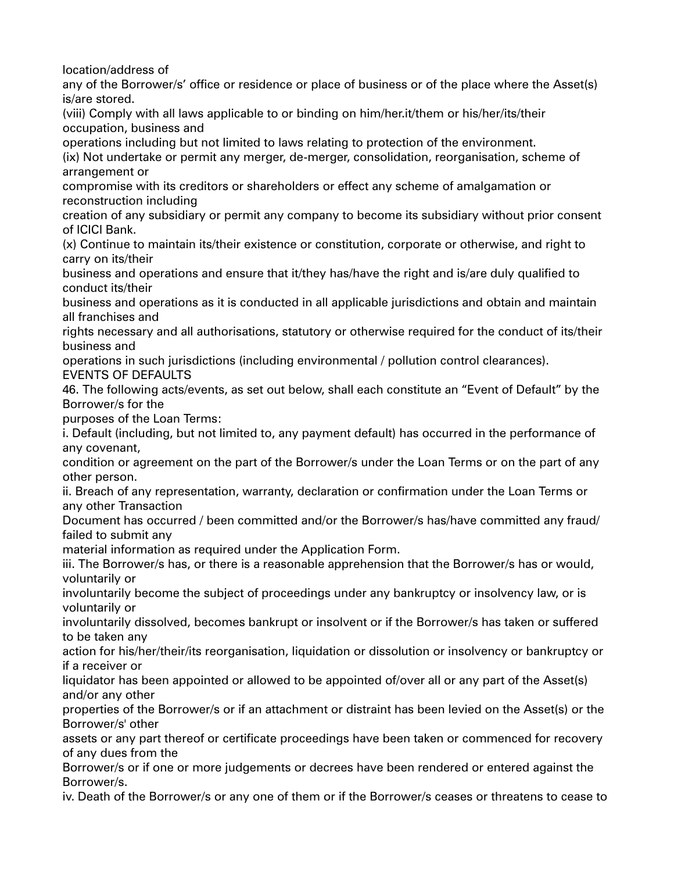location/address of

any of the Borrower/s' office or residence or place of business or of the place where the Asset(s) is/are stored.

(viii) Comply with all laws applicable to or binding on him/her.it/them or his/her/its/their occupation, business and

operations including but not limited to laws relating to protection of the environment.

(ix) Not undertake or permit any merger, de-merger, consolidation, reorganisation, scheme of arrangement or

compromise with its creditors or shareholders or effect any scheme of amalgamation or reconstruction including

creation of any subsidiary or permit any company to become its subsidiary without prior consent of ICICI Bank.

(x) Continue to maintain its/their existence or constitution, corporate or otherwise, and right to carry on its/their

business and operations and ensure that it/they has/have the right and is/are duly qualified to conduct its/their

business and operations as it is conducted in all applicable jurisdictions and obtain and maintain all franchises and

rights necessary and all authorisations, statutory or otherwise required for the conduct of its/their business and

operations in such jurisdictions (including environmental / pollution control clearances).

EVENTS OF DEFAULTS

46. The following acts/events, as set out below, shall each constitute an "Event of Default" by the Borrower/s for the

purposes of the Loan Terms:

i. Default (including, but not limited to, any payment default) has occurred in the performance of any covenant,

condition or agreement on the part of the Borrower/s under the Loan Terms or on the part of any other person.

ii. Breach of any representation, warranty, declaration or confirmation under the Loan Terms or any other Transaction

Document has occurred / been committed and/or the Borrower/s has/have committed any fraud/ failed to submit any

material information as required under the Application Form.

iii. The Borrower/s has, or there is a reasonable apprehension that the Borrower/s has or would, voluntarily or

involuntarily become the subject of proceedings under any bankruptcy or insolvency law, or is voluntarily or

involuntarily dissolved, becomes bankrupt or insolvent or if the Borrower/s has taken or suffered to be taken any

action for his/her/their/its reorganisation, liquidation or dissolution or insolvency or bankruptcy or if a receiver or

liquidator has been appointed or allowed to be appointed of/over all or any part of the Asset(s) and/or any other

properties of the Borrower/s or if an attachment or distraint has been levied on the Asset(s) or the Borrower/s' other

assets or any part thereof or certificate proceedings have been taken or commenced for recovery of any dues from the

Borrower/s or if one or more judgements or decrees have been rendered or entered against the Borrower/s.

iv. Death of the Borrower/s or any one of them or if the Borrower/s ceases or threatens to cease to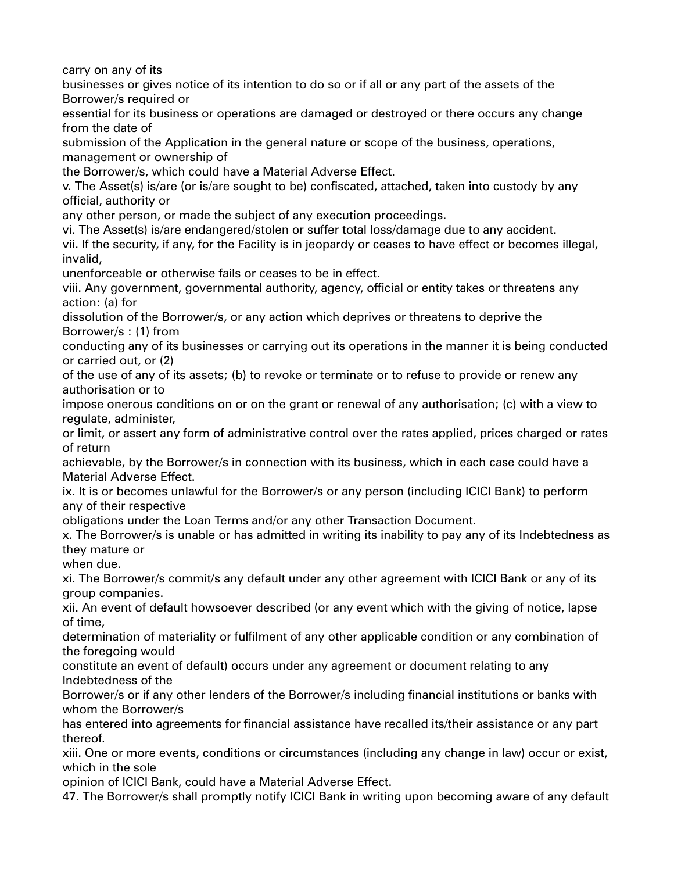carry on any of its

businesses or gives notice of its intention to do so or if all or any part of the assets of the Borrower/s required or

essential for its business or operations are damaged or destroyed or there occurs any change from the date of

submission of the Application in the general nature or scope of the business, operations, management or ownership of

the Borrower/s, which could have a Material Adverse Effect.

v. The Asset(s) is/are (or is/are sought to be) confiscated, attached, taken into custody by any official, authority or

any other person, or made the subject of any execution proceedings.

vi. The Asset(s) is/are endangered/stolen or suffer total loss/damage due to any accident. vii. If the security, if any, for the Facility is in jeopardy or ceases to have effect or becomes illegal, invalid,

unenforceable or otherwise fails or ceases to be in effect.

viii. Any government, governmental authority, agency, official or entity takes or threatens any action: (a) for

dissolution of the Borrower/s, or any action which deprives or threatens to deprive the Borrower/s : (1) from

conducting any of its businesses or carrying out its operations in the manner it is being conducted or carried out, or (2)

of the use of any of its assets; (b) to revoke or terminate or to refuse to provide or renew any authorisation or to

impose onerous conditions on or on the grant or renewal of any authorisation; (c) with a view to regulate, administer,

or limit, or assert any form of administrative control over the rates applied, prices charged or rates of return

achievable, by the Borrower/s in connection with its business, which in each case could have a Material Adverse Effect.

ix. It is or becomes unlawful for the Borrower/s or any person (including ICICI Bank) to perform any of their respective

obligations under the Loan Terms and/or any other Transaction Document.

x. The Borrower/s is unable or has admitted in writing its inability to pay any of its Indebtedness as they mature or

when due.

xi. The Borrower/s commit/s any default under any other agreement with ICICI Bank or any of its group companies.

xii. An event of default howsoever described (or any event which with the giving of notice, lapse of time,

determination of materiality or fulfilment of any other applicable condition or any combination of the foregoing would

constitute an event of default) occurs under any agreement or document relating to any Indebtedness of the

Borrower/s or if any other lenders of the Borrower/s including financial institutions or banks with whom the Borrower/s

has entered into agreements for financial assistance have recalled its/their assistance or any part thereof.

xiii. One or more events, conditions or circumstances (including any change in law) occur or exist, which in the sole

opinion of ICICI Bank, could have a Material Adverse Effect.

47. The Borrower/s shall promptly notify ICICI Bank in writing upon becoming aware of any default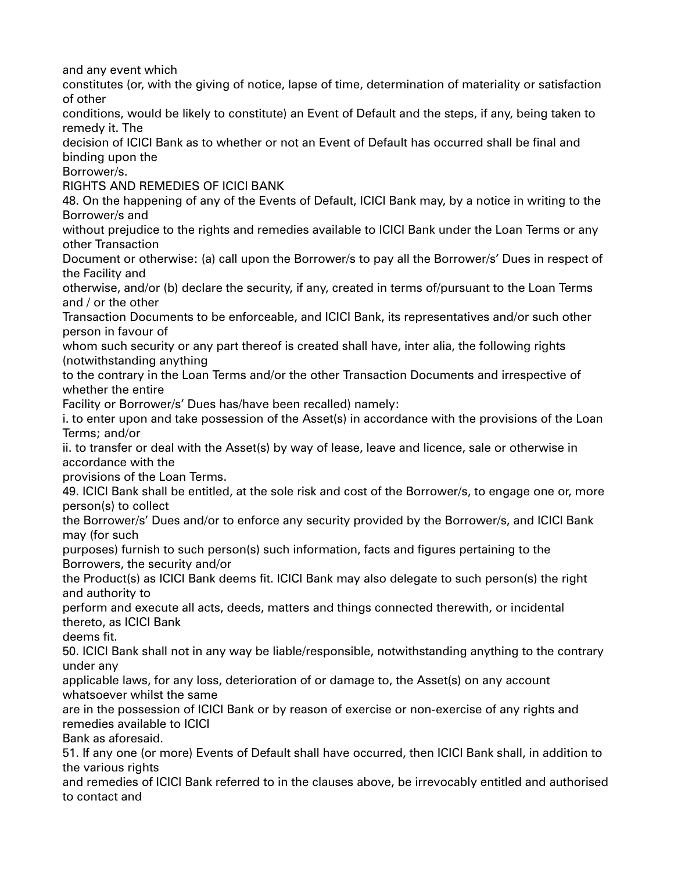and any event which

constitutes (or, with the giving of notice, lapse of time, determination of materiality or satisfaction of other

conditions, would be likely to constitute) an Event of Default and the steps, if any, being taken to remedy it. The

decision of ICICI Bank as to whether or not an Event of Default has occurred shall be final and binding upon the

Borrower/s.

RIGHTS AND REMEDIES OF ICICI BANK

48. On the happening of any of the Events of Default, ICICI Bank may, by a notice in writing to the Borrower/s and

without prejudice to the rights and remedies available to ICICI Bank under the Loan Terms or any other Transaction

Document or otherwise: (a) call upon the Borrower/s to pay all the Borrower/s' Dues in respect of the Facility and

otherwise, and/or (b) declare the security, if any, created in terms of/pursuant to the Loan Terms and / or the other

Transaction Documents to be enforceable, and ICICI Bank, its representatives and/or such other person in favour of

whom such security or any part thereof is created shall have, inter alia, the following rights (notwithstanding anything

to the contrary in the Loan Terms and/or the other Transaction Documents and irrespective of whether the entire

Facility or Borrower/s' Dues has/have been recalled) namely:

i. to enter upon and take possession of the Asset(s) in accordance with the provisions of the Loan Terms; and/or

ii. to transfer or deal with the Asset(s) by way of lease, leave and licence, sale or otherwise in accordance with the

provisions of the Loan Terms.

49. ICICI Bank shall be entitled, at the sole risk and cost of the Borrower/s, to engage one or, more person(s) to collect

the Borrower/s' Dues and/or to enforce any security provided by the Borrower/s, and ICICI Bank may (for such

purposes) furnish to such person(s) such information, facts and figures pertaining to the Borrowers, the security and/or

the Product(s) as ICICI Bank deems fit. ICICI Bank may also delegate to such person(s) the right and authority to

perform and execute all acts, deeds, matters and things connected therewith, or incidental thereto, as ICICI Bank

deems fit.

50. ICICI Bank shall not in any way be liable/responsible, notwithstanding anything to the contrary under any

applicable laws, for any loss, deterioration of or damage to, the Asset(s) on any account whatsoever whilst the same

are in the possession of ICICI Bank or by reason of exercise or non-exercise of any rights and remedies available to ICICI

Bank as aforesaid.

51. If any one (or more) Events of Default shall have occurred, then ICICI Bank shall, in addition to the various rights

and remedies of ICICI Bank referred to in the clauses above, be irrevocably entitled and authorised to contact and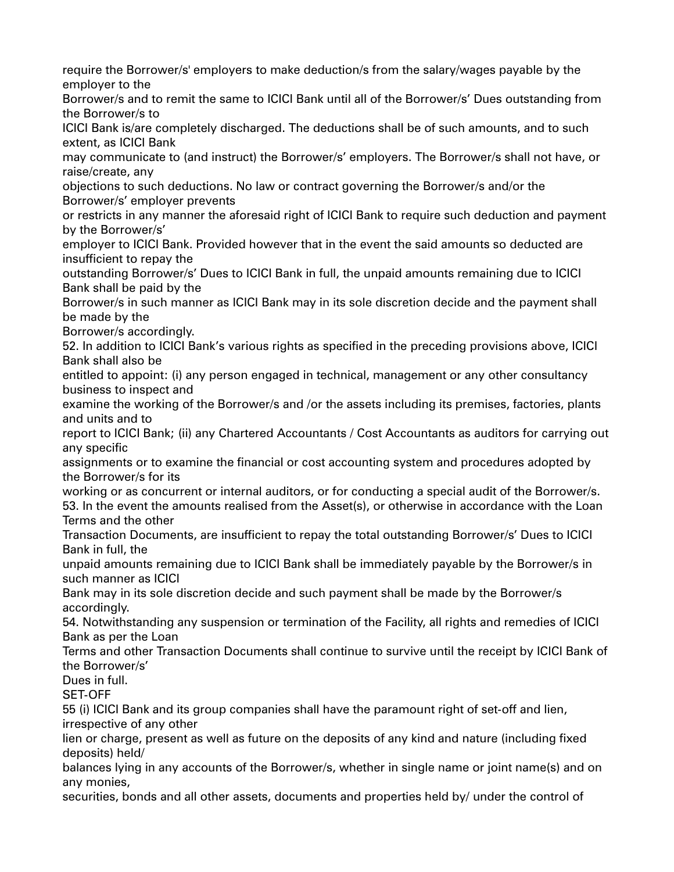require the Borrower/s' employers to make deduction/s from the salary/wages payable by the employer to the

Borrower/s and to remit the same to ICICI Bank until all of the Borrower/s' Dues outstanding from the Borrower/s to

ICICI Bank is/are completely discharged. The deductions shall be of such amounts, and to such extent, as ICICI Bank

may communicate to (and instruct) the Borrower/s' employers. The Borrower/s shall not have, or raise/create, any

objections to such deductions. No law or contract governing the Borrower/s and/or the Borrower/s' employer prevents

or restricts in any manner the aforesaid right of ICICI Bank to require such deduction and payment by the Borrower/s'

employer to ICICI Bank. Provided however that in the event the said amounts so deducted are insufficient to repay the

outstanding Borrower/s' Dues to ICICI Bank in full, the unpaid amounts remaining due to ICICI Bank shall be paid by the

Borrower/s in such manner as ICICI Bank may in its sole discretion decide and the payment shall be made by the

Borrower/s accordingly.

52. In addition to ICICI Bank's various rights as specified in the preceding provisions above, ICICI Bank shall also be

entitled to appoint: (i) any person engaged in technical, management or any other consultancy business to inspect and

examine the working of the Borrower/s and /or the assets including its premises, factories, plants and units and to

report to ICICI Bank; (ii) any Chartered Accountants / Cost Accountants as auditors for carrying out any specific

assignments or to examine the financial or cost accounting system and procedures adopted by the Borrower/s for its

working or as concurrent or internal auditors, or for conducting a special audit of the Borrower/s. 53. In the event the amounts realised from the Asset(s), or otherwise in accordance with the Loan Terms and the other

Transaction Documents, are insufficient to repay the total outstanding Borrower/s' Dues to ICICI Bank in full, the

unpaid amounts remaining due to ICICI Bank shall be immediately payable by the Borrower/s in such manner as ICICI

Bank may in its sole discretion decide and such payment shall be made by the Borrower/s accordingly.

54. Notwithstanding any suspension or termination of the Facility, all rights and remedies of ICICI Bank as per the Loan

Terms and other Transaction Documents shall continue to survive until the receipt by ICICI Bank of the Borrower/s'

Dues in full.

SET-OFF

55 (i) ICICI Bank and its group companies shall have the paramount right of set-off and lien, irrespective of any other

lien or charge, present as well as future on the deposits of any kind and nature (including fixed deposits) held/

balances lying in any accounts of the Borrower/s, whether in single name or joint name(s) and on any monies,

securities, bonds and all other assets, documents and properties held by/ under the control of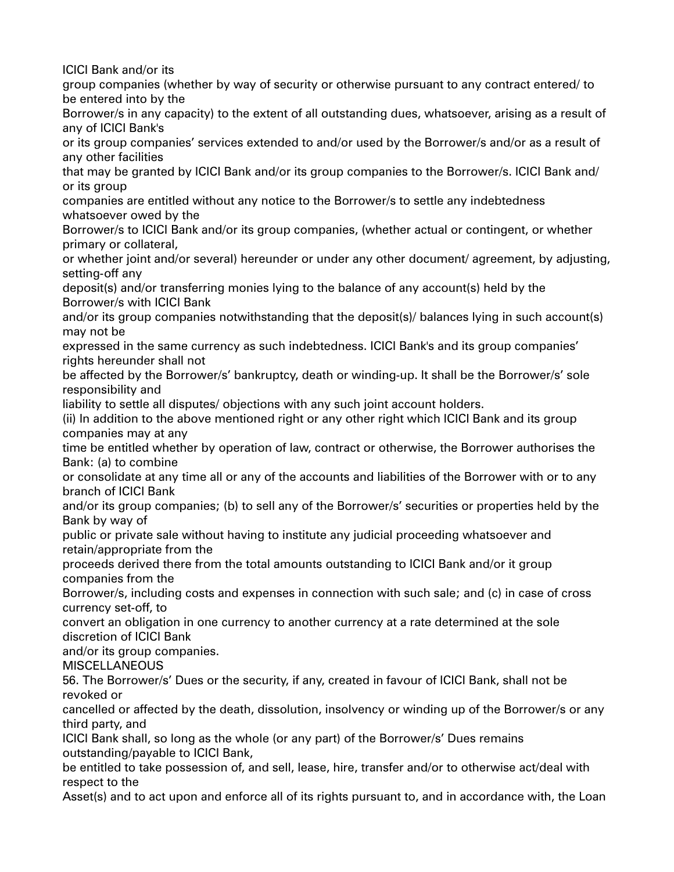ICICI Bank and/or its

group companies (whether by way of security or otherwise pursuant to any contract entered/ to be entered into by the

Borrower/s in any capacity) to the extent of all outstanding dues, whatsoever, arising as a result of any of ICICI Bank's

or its group companies' services extended to and/or used by the Borrower/s and/or as a result of any other facilities

that may be granted by ICICI Bank and/or its group companies to the Borrower/s. ICICI Bank and/ or its group

companies are entitled without any notice to the Borrower/s to settle any indebtedness whatsoever owed by the

Borrower/s to ICICI Bank and/or its group companies, (whether actual or contingent, or whether primary or collateral,

or whether joint and/or several) hereunder or under any other document/ agreement, by adjusting, setting-off any

deposit(s) and/or transferring monies lying to the balance of any account(s) held by the Borrower/s with ICICI Bank

and/or its group companies notwithstanding that the deposit(s)/ balances lying in such account(s) may not be

expressed in the same currency as such indebtedness. ICICI Bank's and its group companies' rights hereunder shall not

be affected by the Borrower/s' bankruptcy, death or winding-up. It shall be the Borrower/s' sole responsibility and

liability to settle all disputes/ objections with any such joint account holders.

(ii) In addition to the above mentioned right or any other right which ICICI Bank and its group companies may at any

time be entitled whether by operation of law, contract or otherwise, the Borrower authorises the Bank: (a) to combine

or consolidate at any time all or any of the accounts and liabilities of the Borrower with or to any branch of ICICI Bank

and/or its group companies; (b) to sell any of the Borrower/s' securities or properties held by the Bank by way of

public or private sale without having to institute any judicial proceeding whatsoever and retain/appropriate from the

proceeds derived there from the total amounts outstanding to ICICI Bank and/or it group companies from the

Borrower/s, including costs and expenses in connection with such sale; and (c) in case of cross currency set-off, to

convert an obligation in one currency to another currency at a rate determined at the sole discretion of ICICI Bank

and/or its group companies.

MISCELLANEOUS

56. The Borrower/s' Dues or the security, if any, created in favour of ICICI Bank, shall not be revoked or

cancelled or affected by the death, dissolution, insolvency or winding up of the Borrower/s or any third party, and

ICICI Bank shall, so long as the whole (or any part) of the Borrower/s' Dues remains outstanding/payable to ICICI Bank,

be entitled to take possession of, and sell, lease, hire, transfer and/or to otherwise act/deal with respect to the

Asset(s) and to act upon and enforce all of its rights pursuant to, and in accordance with, the Loan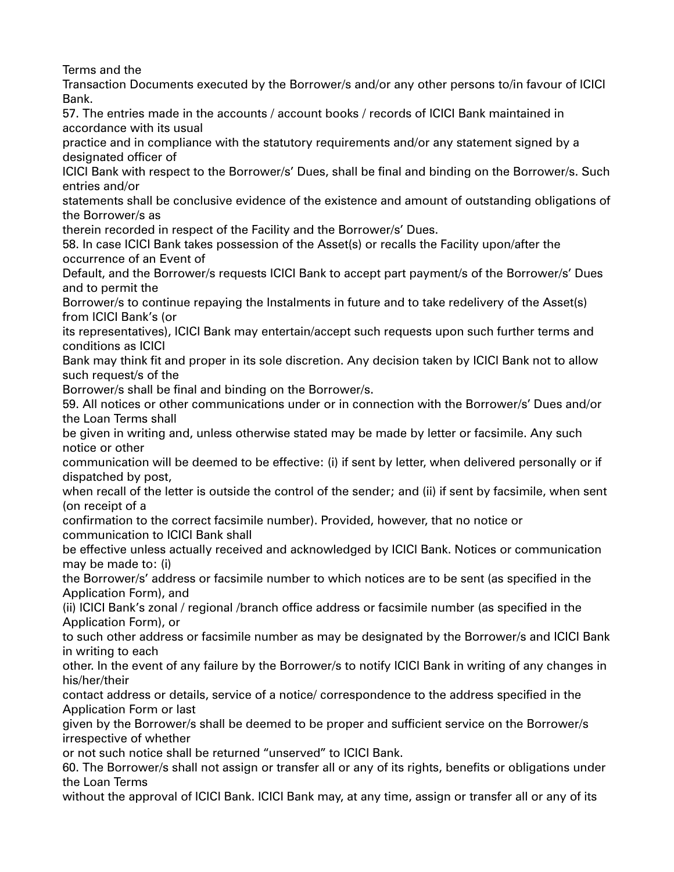Terms and the

Transaction Documents executed by the Borrower/s and/or any other persons to/in favour of ICICI Bank.

57. The entries made in the accounts / account books / records of ICICI Bank maintained in accordance with its usual

practice and in compliance with the statutory requirements and/or any statement signed by a designated officer of

ICICI Bank with respect to the Borrower/s' Dues, shall be final and binding on the Borrower/s. Such entries and/or

statements shall be conclusive evidence of the existence and amount of outstanding obligations of the Borrower/s as

therein recorded in respect of the Facility and the Borrower/s' Dues.

58. In case ICICI Bank takes possession of the Asset(s) or recalls the Facility upon/after the occurrence of an Event of

Default, and the Borrower/s requests ICICI Bank to accept part payment/s of the Borrower/s' Dues and to permit the

Borrower/s to continue repaying the Instalments in future and to take redelivery of the Asset(s) from ICICI Bank's (or

its representatives), ICICI Bank may entertain/accept such requests upon such further terms and conditions as ICICI

Bank may think fit and proper in its sole discretion. Any decision taken by ICICI Bank not to allow such request/s of the

Borrower/s shall be final and binding on the Borrower/s.

59. All notices or other communications under or in connection with the Borrower/s' Dues and/or the Loan Terms shall

be given in writing and, unless otherwise stated may be made by letter or facsimile. Any such notice or other

communication will be deemed to be effective: (i) if sent by letter, when delivered personally or if dispatched by post,

when recall of the letter is outside the control of the sender; and (ii) if sent by facsimile, when sent (on receipt of a

confirmation to the correct facsimile number). Provided, however, that no notice or communication to ICICI Bank shall

be effective unless actually received and acknowledged by ICICI Bank. Notices or communication may be made to: (i)

the Borrower/s' address or facsimile number to which notices are to be sent (as specified in the Application Form), and

(ii) ICICI Bank's zonal / regional /branch office address or facsimile number (as specified in the Application Form), or

to such other address or facsimile number as may be designated by the Borrower/s and ICICI Bank in writing to each

other. In the event of any failure by the Borrower/s to notify ICICI Bank in writing of any changes in his/her/their

contact address or details, service of a notice/ correspondence to the address specified in the Application Form or last

given by the Borrower/s shall be deemed to be proper and sufficient service on the Borrower/s irrespective of whether

or not such notice shall be returned "unserved" to ICICI Bank.

60. The Borrower/s shall not assign or transfer all or any of its rights, benefits or obligations under the Loan Terms

without the approval of ICICI Bank. ICICI Bank may, at any time, assign or transfer all or any of its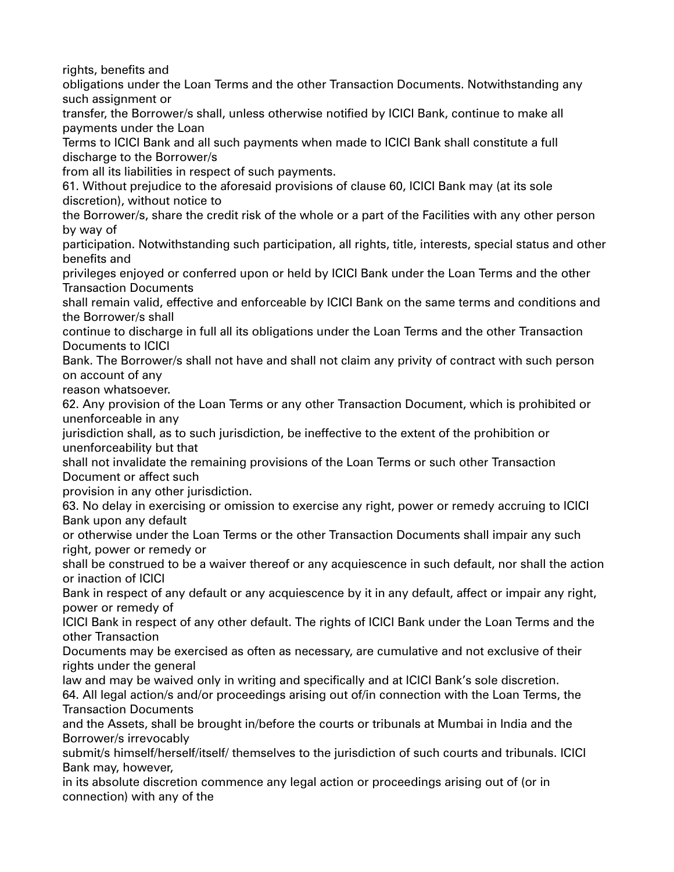rights, benefits and

obligations under the Loan Terms and the other Transaction Documents. Notwithstanding any such assignment or

transfer, the Borrower/s shall, unless otherwise notified by ICICI Bank, continue to make all payments under the Loan

Terms to ICICI Bank and all such payments when made to ICICI Bank shall constitute a full discharge to the Borrower/s

from all its liabilities in respect of such payments.

61. Without prejudice to the aforesaid provisions of clause 60, ICICI Bank may (at its sole discretion), without notice to

the Borrower/s, share the credit risk of the whole or a part of the Facilities with any other person by way of

participation. Notwithstanding such participation, all rights, title, interests, special status and other benefits and

privileges enjoyed or conferred upon or held by ICICI Bank under the Loan Terms and the other Transaction Documents

shall remain valid, effective and enforceable by ICICI Bank on the same terms and conditions and the Borrower/s shall

continue to discharge in full all its obligations under the Loan Terms and the other Transaction Documents to ICICI

Bank. The Borrower/s shall not have and shall not claim any privity of contract with such person on account of any

reason whatsoever.

62. Any provision of the Loan Terms or any other Transaction Document, which is prohibited or unenforceable in any

jurisdiction shall, as to such jurisdiction, be ineffective to the extent of the prohibition or unenforceability but that

shall not invalidate the remaining provisions of the Loan Terms or such other Transaction Document or affect such

provision in any other jurisdiction.

63. No delay in exercising or omission to exercise any right, power or remedy accruing to ICICI Bank upon any default

or otherwise under the Loan Terms or the other Transaction Documents shall impair any such right, power or remedy or

shall be construed to be a waiver thereof or any acquiescence in such default, nor shall the action or inaction of ICICI

Bank in respect of any default or any acquiescence by it in any default, affect or impair any right, power or remedy of

ICICI Bank in respect of any other default. The rights of ICICI Bank under the Loan Terms and the other Transaction

Documents may be exercised as often as necessary, are cumulative and not exclusive of their rights under the general

law and may be waived only in writing and specifically and at ICICI Bank's sole discretion.

64. All legal action/s and/or proceedings arising out of/in connection with the Loan Terms, the Transaction Documents

and the Assets, shall be brought in/before the courts or tribunals at Mumbai in India and the Borrower/s irrevocably

submit/s himself/herself/itself/ themselves to the jurisdiction of such courts and tribunals. ICICI Bank may, however,

in its absolute discretion commence any legal action or proceedings arising out of (or in connection) with any of the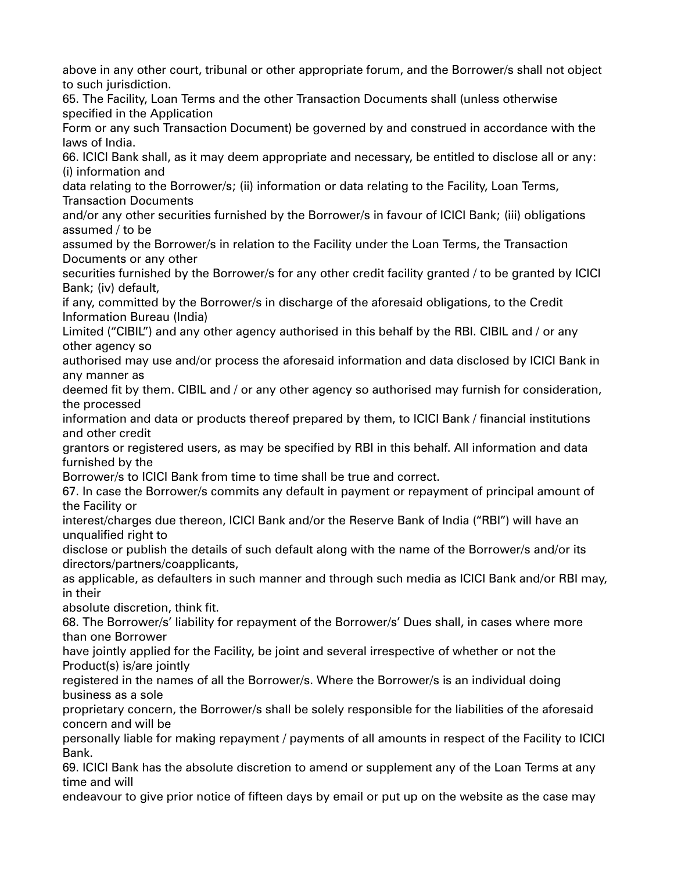above in any other court, tribunal or other appropriate forum, and the Borrower/s shall not object to such jurisdiction.

65. The Facility, Loan Terms and the other Transaction Documents shall (unless otherwise specified in the Application

Form or any such Transaction Document) be governed by and construed in accordance with the laws of India.

66. ICICI Bank shall, as it may deem appropriate and necessary, be entitled to disclose all or any: (i) information and

data relating to the Borrower/s; (ii) information or data relating to the Facility, Loan Terms, Transaction Documents

and/or any other securities furnished by the Borrower/s in favour of ICICI Bank; (iii) obligations assumed / to be

assumed by the Borrower/s in relation to the Facility under the Loan Terms, the Transaction Documents or any other

securities furnished by the Borrower/s for any other credit facility granted / to be granted by ICICI Bank; (iv) default,

if any, committed by the Borrower/s in discharge of the aforesaid obligations, to the Credit Information Bureau (India)

Limited ("CIBIL") and any other agency authorised in this behalf by the RBI. CIBIL and / or any other agency so

authorised may use and/or process the aforesaid information and data disclosed by ICICI Bank in any manner as

deemed fit by them. CIBIL and / or any other agency so authorised may furnish for consideration, the processed

information and data or products thereof prepared by them, to ICICI Bank / financial institutions and other credit

grantors or registered users, as may be specified by RBI in this behalf. All information and data furnished by the

Borrower/s to ICICI Bank from time to time shall be true and correct.

67. In case the Borrower/s commits any default in payment or repayment of principal amount of the Facility or

interest/charges due thereon, ICICI Bank and/or the Reserve Bank of India ("RBI") will have an unqualified right to

disclose or publish the details of such default along with the name of the Borrower/s and/or its directors/partners/coapplicants,

as applicable, as defaulters in such manner and through such media as ICICI Bank and/or RBI may, in their

absolute discretion, think fit.

68. The Borrower/s' liability for repayment of the Borrower/s' Dues shall, in cases where more than one Borrower

have jointly applied for the Facility, be joint and several irrespective of whether or not the Product(s) is/are jointly

registered in the names of all the Borrower/s. Where the Borrower/s is an individual doing business as a sole

proprietary concern, the Borrower/s shall be solely responsible for the liabilities of the aforesaid concern and will be

personally liable for making repayment / payments of all amounts in respect of the Facility to ICICI Bank.

69. ICICI Bank has the absolute discretion to amend or supplement any of the Loan Terms at any time and will

endeavour to give prior notice of fifteen days by email or put up on the website as the case may